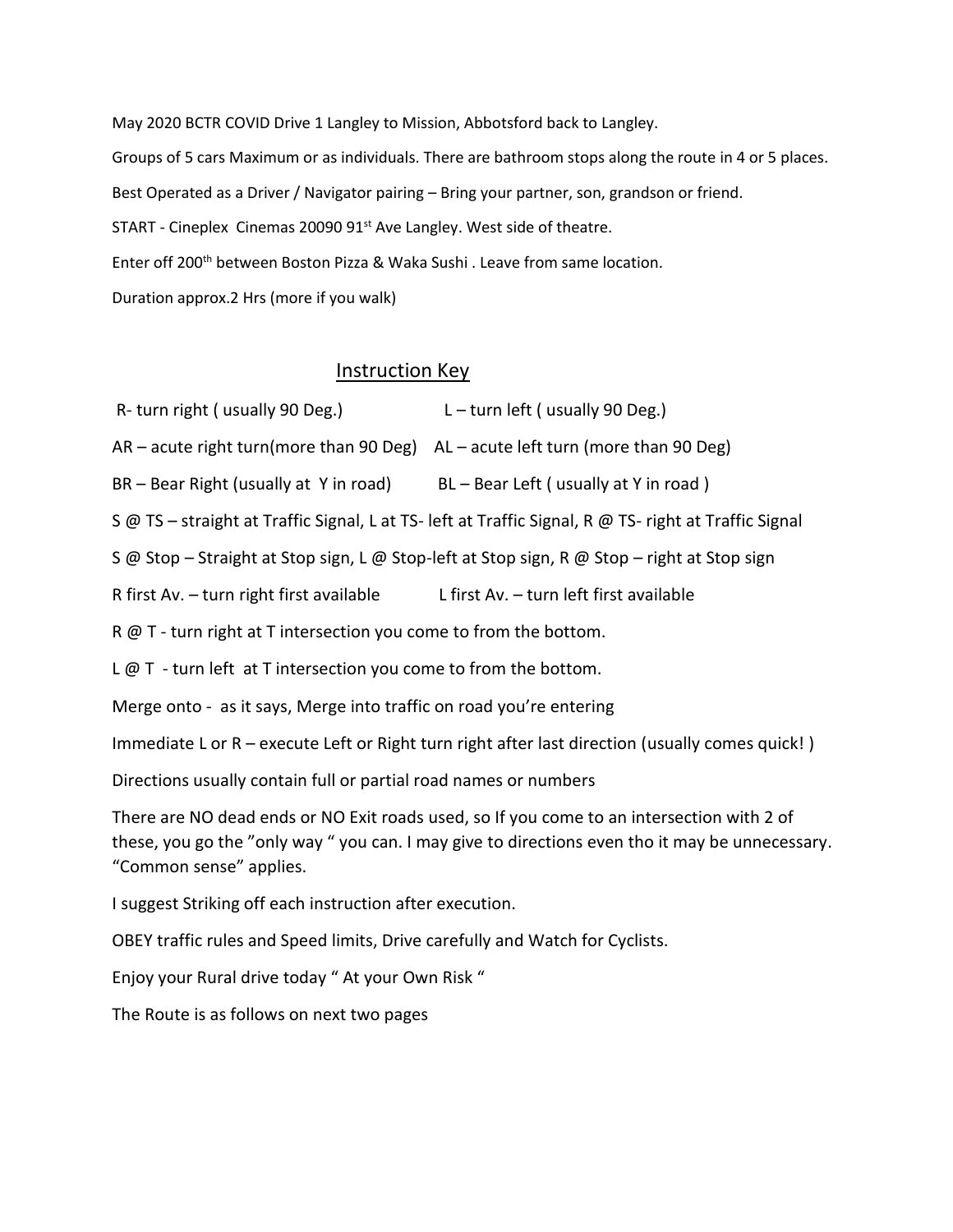May 2020 BCTR COVID Drive 1 Langley to Mission, Abbotsford back to Langley. Groups of 5 cars Maximum or as individuals. There are bathroom stops along the route in 4 or 5 places. Best Operated as a Driver / Navigator pairing – Bring your partner, son, grandson or friend. START - Cineplex Cinemas 20090 91<sup>st</sup> Ave Langley. West side of theatre. Enter off 200th between Boston Pizza & Waka Sushi . Leave from same location. Duration approx.2 Hrs (more if you walk)

## Instruction Key

- R- turn right ( usually 90 Deg.) L turn left ( usually 90 Deg.)
- AR acute right turn(more than 90 Deg) AL acute left turn (more than 90 Deg)

BR – Bear Right (usually at Y in road) BL – Bear Left ( usually at Y in road )

S @ TS – straight at Traffic Signal, L at TS- left at Traffic Signal, R @ TS- right at Traffic Signal

S @ Stop – Straight at Stop sign, L @ Stop-left at Stop sign, R @ Stop – right at Stop sign

R first Av. – turn right first available L first Av. – turn left first available

R @ T - turn right at T intersection you come to from the bottom.

 $L \varnothing$  T - turn left at T intersection you come to from the bottom.

Merge onto - as it says, Merge into traffic on road you're entering

Immediate L or R – execute Left or Right turn right after last direction (usually comes quick! )

Directions usually contain full or partial road names or numbers

There are NO dead ends or NO Exit roads used, so If you come to an intersection with 2 of these, you go the "only way " you can. I may give to directions even tho it may be unnecessary. "Common sense" applies.

I suggest Striking off each instruction after execution.

OBEY traffic rules and Speed limits, Drive carefully and Watch for Cyclists.

Enjoy your Rural drive today " At your Own Risk "

The Route is as follows on next two pages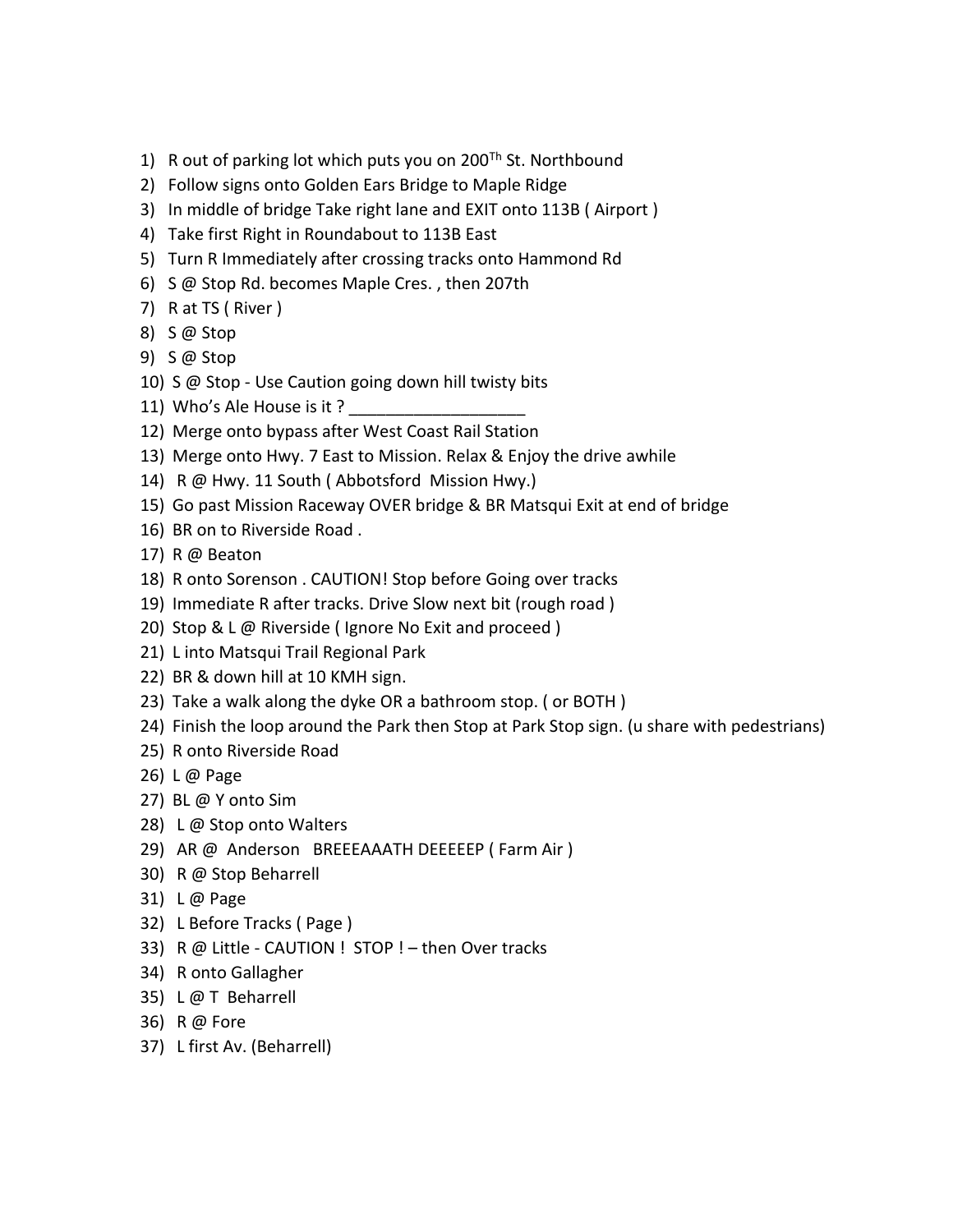- 1) R out of parking lot which puts you on 200<sup>Th</sup> St. Northbound
- 2) Follow signs onto Golden Ears Bridge to Maple Ridge
- 3) In middle of bridge Take right lane and EXIT onto 113B ( Airport )
- 4) Take first Right in Roundabout to 113B East
- 5) Turn R Immediately after crossing tracks onto Hammond Rd
- 6) S @ Stop Rd. becomes Maple Cres. , then 207th
- 7) R at TS ( River )
- 8) S @ Stop
- 9) S @ Stop
- 10) S @ Stop Use Caution going down hill twisty bits
- 11) Who's Ale House is it?
- 12) Merge onto bypass after West Coast Rail Station
- 13) Merge onto Hwy. 7 East to Mission. Relax & Enjoy the drive awhile
- 14) R @ Hwy. 11 South ( Abbotsford Mission Hwy.)
- 15) Go past Mission Raceway OVER bridge & BR Matsqui Exit at end of bridge
- 16) BR on to Riverside Road .
- 17) R @ Beaton
- 18) R onto Sorenson . CAUTION! Stop before Going over tracks
- 19) Immediate R after tracks. Drive Slow next bit (rough road )
- 20) Stop & L @ Riverside ( Ignore No Exit and proceed )
- 21) L into Matsqui Trail Regional Park
- 22) BR & down hill at 10 KMH sign.
- 23) Take a walk along the dyke OR a bathroom stop. ( or BOTH )
- 24) Finish the loop around the Park then Stop at Park Stop sign. (u share with pedestrians)
- 25) R onto Riverside Road
- 26) L @ Page
- 27) BL @ Y onto Sim
- 28) L @ Stop onto Walters
- 29) AR @ Anderson BREEEAAATH DEEEEEP ( Farm Air )
- 30) R @ Stop Beharrell
- 31) L @ Page
- 32) L Before Tracks ( Page )
- 33) R @ Little CAUTION ! STOP ! then Over tracks
- 34) R onto Gallagher
- 35) L @ T Beharrell
- 36) R @ Fore
- 37) L first Av. (Beharrell)